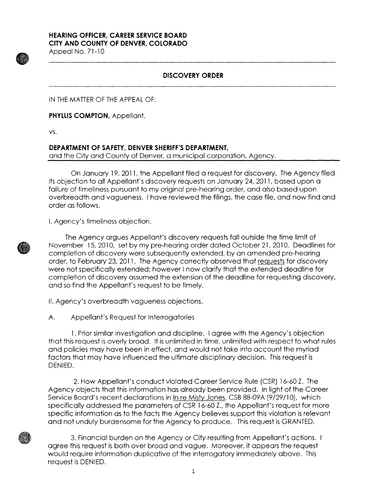## **HEARING OFFICER, CAREER SERVICE BOARD CITY AND COUNTY Of DENVER, COLORADO**

Appeal No. 71-10

## **DISCOVERY ORDER**

IN THE MATTER OF THE APPEAL OF:

**PHYLLIS COMPTON,** Appellant,

vs.

## **DEPARTMENT OF SAFETY, DENVER SHERIFF'S DEPARTMENT,**

and the City and County of Denver, a municipal corporation, Agency.

On January 19, 2011, the Appellant filed a request for discovery. The Agency filed its objection to all Appellant's discovery requests on January 24, 2011, based upon a failure of timeliness pursuant to my original pre-hearing order, and also based upon overbreadth and vagueness. I have reviewed the filings, the case file, and now find and order as follows.

I. Agency's timeliness objection.



The Agency argues Appellant's discovery requests fall outside the time limit of November 15, 2010, set by my pre-hearing order dated October 21, 2010. Deadlines for completion of discovery were subsequently extended, by an amended pre-hearing order, to February 23, 2011. The Agency correctly observed that requests for discovery were not specifically extended; however I now clarify that the extended deadline for completion of discovery assumed the extension of the deadline for requesting discovery, and so find the Appellant's request to be timely.

II. Agency's overbreadth vagueness objections.

A. Appellant's Request for Interrogatories

1. Prior similar investigation and discipline. I agree with the Agency's objection that this request is overly broad. It is unlimited in time, unlimited with respect to what rules and policies may have been in effect, and would not take into account the myriad factors that may have influenced the ultimate disciplinary decision. This request is DENIED.

2. How Appellant's conduct violated Career Service Rule (CSR) 16-60 Z. The Agency objects that this information has already been provided. In light of the Career Service Board's recent declarations in In re Misty Jones, CSB 88-09A (9/29/10), which specifically addressed the parameters of CSR 16-60 Z., the Appellant's request for more specific information as to the facts the Agency believes support this violation is relevant and not unduly burdensome for the Agency to produce. This request is GRANTED.

3. Financial burden on the Agency or City resulting from Appellant's actions. agree this request is both over broad and vague. Moreover, it appears the request would require information duplicative of the interrogatory immediately above. This request is DENIED.